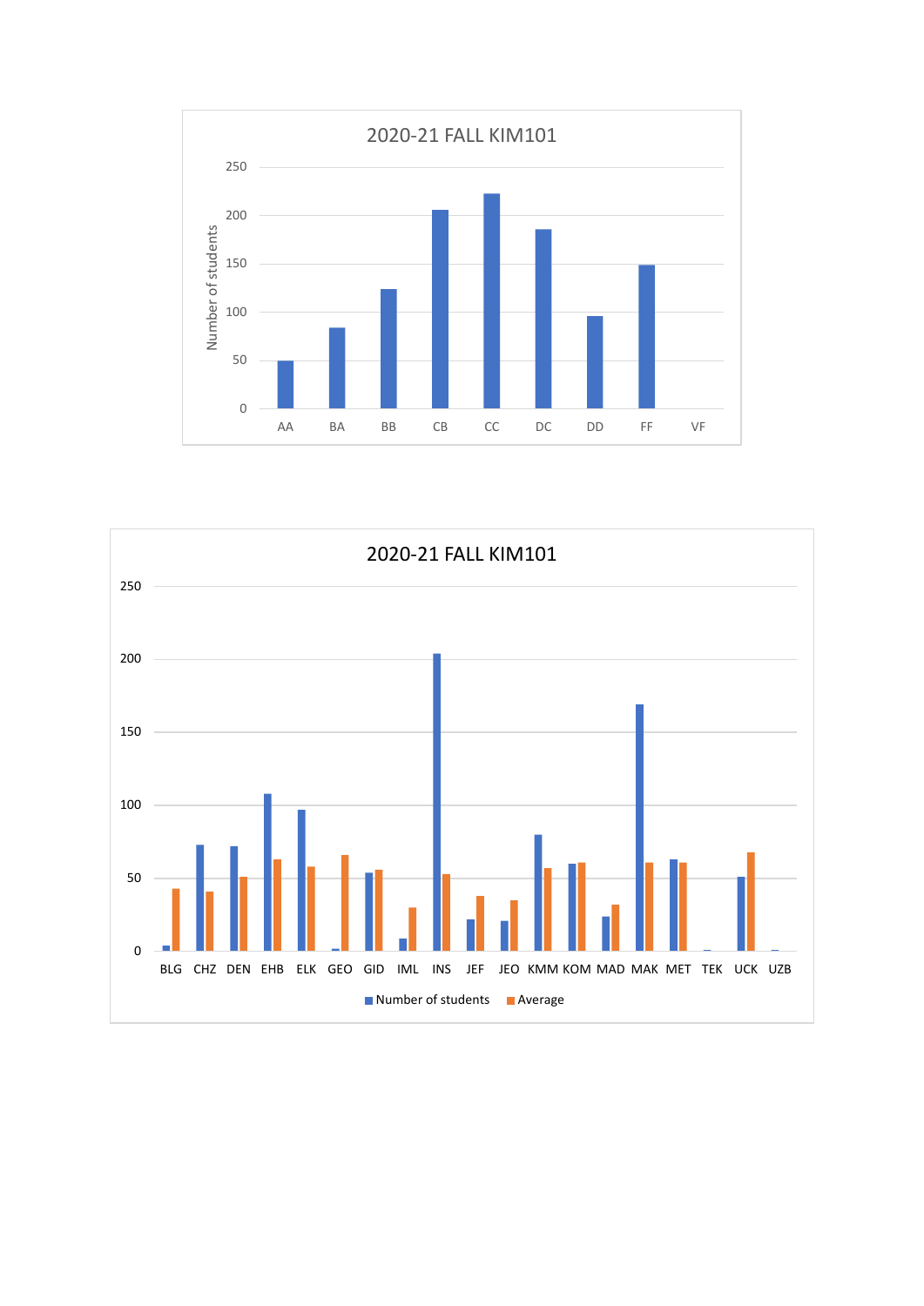

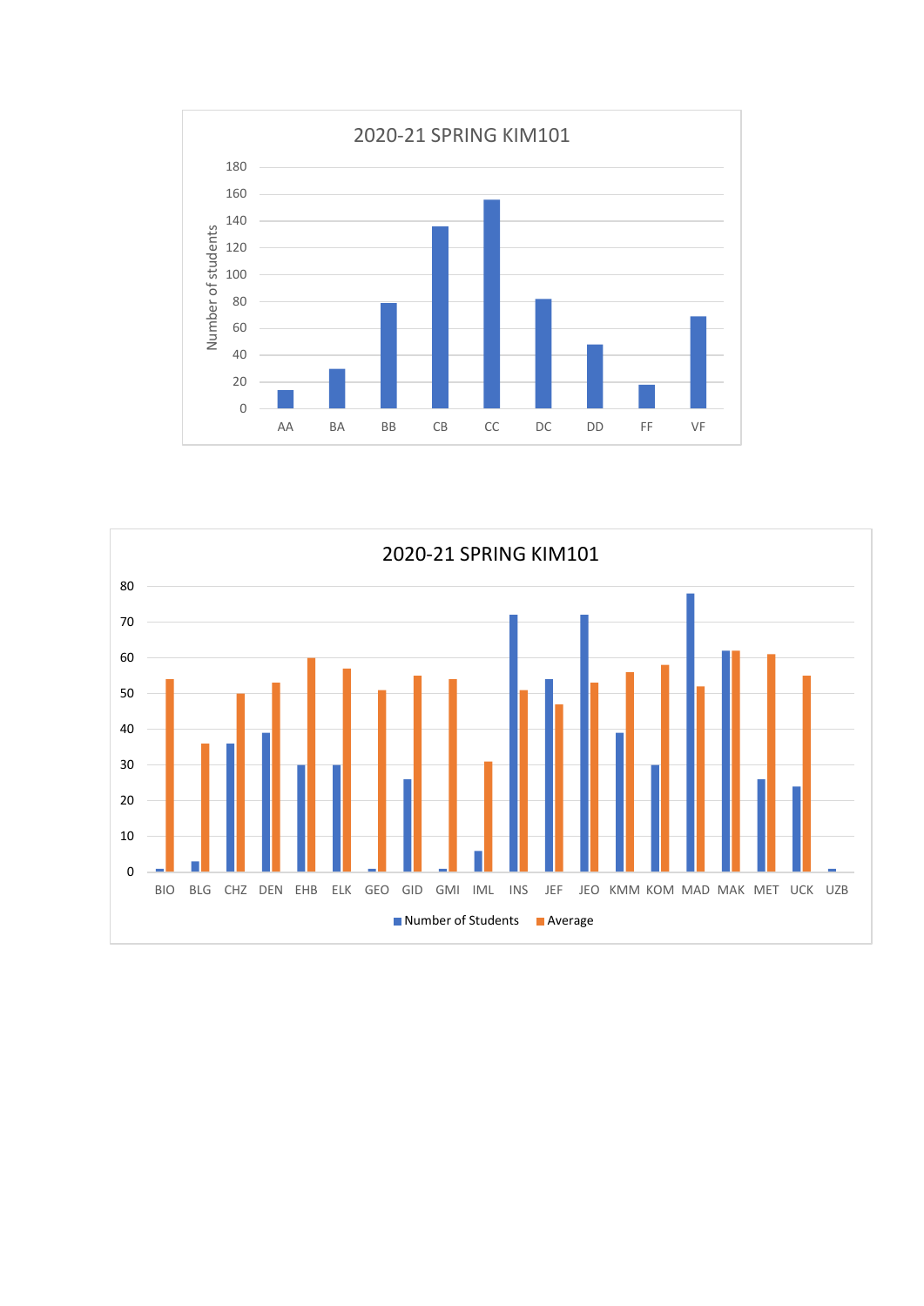

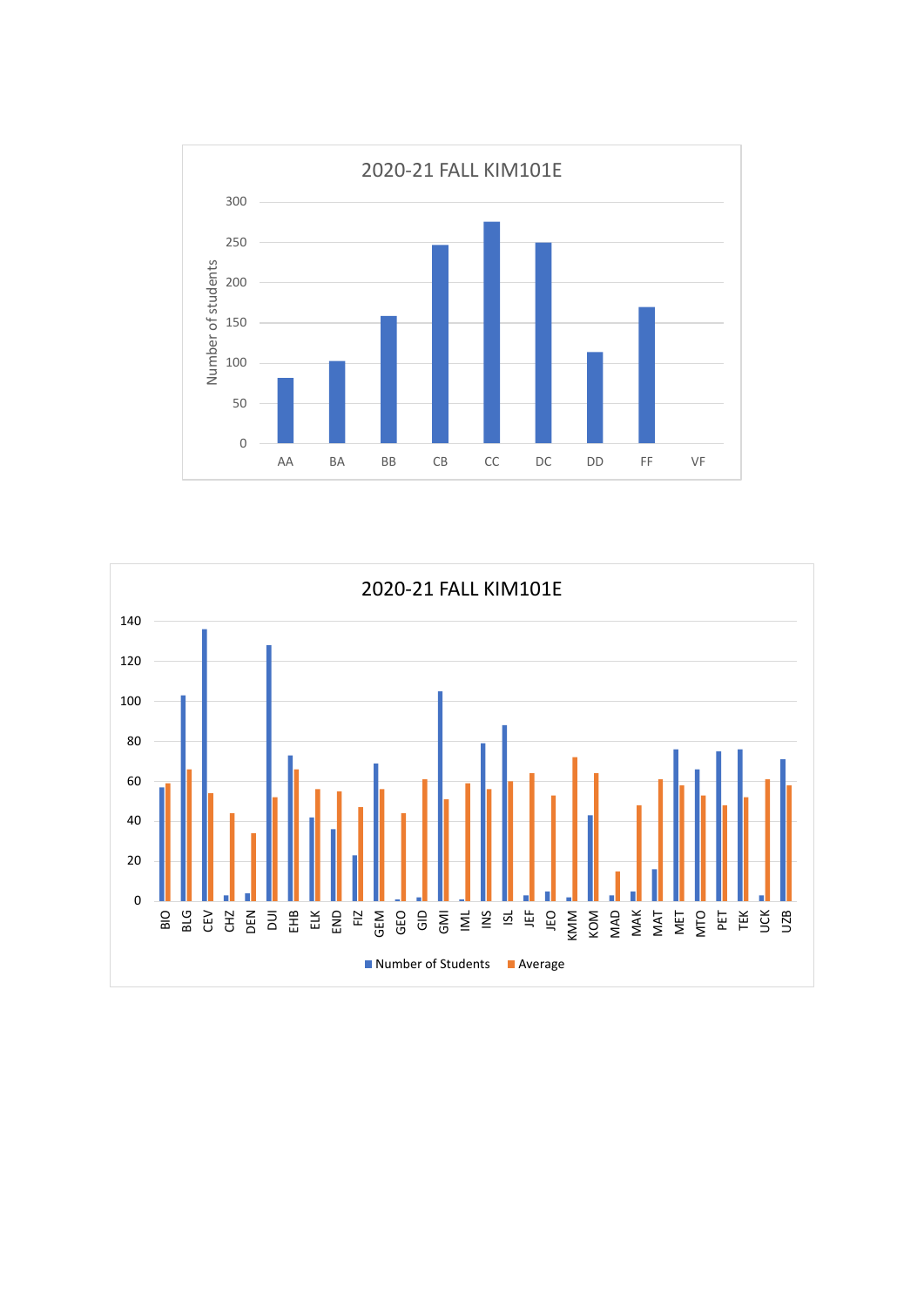